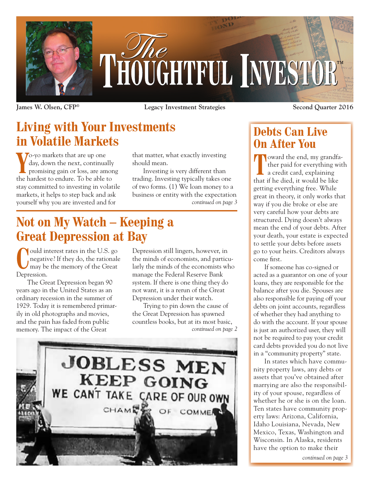

**James W. Olsen, CFP® Legacy Investment Strategies Second Quarter 2016**

# **Living with Your Investments in Volatile Markets**

Yo-yo markets that are up one<br>day, down the next, continually<br>promising gain or loss, are amor<br>the hardest to endure. To be able to o-yo markets that are up one day, down the next, continually promising gain or loss, are among stay committed to investing in volatile markets, it helps to step back and ask yourself why you are invested and for

that matter, what exactly investing should mean.

*continued on page 3* Investing is very different than trading. Investing typically takes one of two forms. (1) We loan money to a business or entity with the expectation

## **Not on My Watch – Keeping a Great Depression at Bay**

**C**ould interest rates in the U.S. go negative? If they do, the rationale may be the memory of the Great negative? If they do, the rationale may be the memory of the Great Depression.

The Great Depression began 90 years ago in the United States as an ordinary recession in the summer of 1929. Today it is remembered primarily in old photographs and movies, and the pain has faded from public memory. The impact of the Great

Depression still lingers, however, in the minds of economists, and particularly the minds of the economists who manage the Federal Reserve Bank system. If there is one thing they do not want, it is a rerun of the Great Depression under their watch.

Trying to pin down the cause of the Great Depression has spawned countless books, but at its most basic, *continued on page 2*



### **Debts Can Live On After You**

**T**oward the end, my grandfather paid for everything with a credit card, explaining that if he died, it would be like getting everything free. While great in theory, it only works that way if you die broke or else are very careful how your debts are structured. Dying doesn't always mean the end of your debts. After your death, your estate is expected to settle your debts before assets go to your heirs. Creditors always come first.

If someone has co-signed or acted as a guarantor on one of your loans, they are responsible for the balance after you die. Spouses are also responsible for paying off your debts on joint accounts, regardless of whether they had anything to do with the account. If your spouse is just an authorized user, they will not be required to pay your credit card debts provided you do not live in a "community property" state.

In states which have community property laws, any debts or assets that you've obtained after marrying are also the responsibility of your spouse, regardless of whether he or she is on the loan. Ten states have community property laws: Arizona, California, Idaho Louisiana, Nevada, New Mexico, Texas, Washington and Wisconsin. In Alaska, residents have the option to make their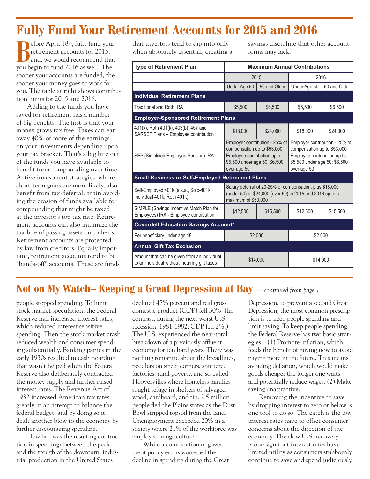### **Fully Fund Your Retirement Accounts for 2015 and 2016**

**B**efore April 18<sup>th</sup>, fully fund your retirement accounts for 2015, and, we would recommend that you begin to fund 2016 as well. The sooner your accounts are funded, the sooner your money goes to work for you. The table at right shows contribution limits for 2015 and 2016.

Adding to the funds you have saved for retirement has a number of big benefits. The first is that your money grows tax free. Taxes can eat away 40% or more of the earnings on your investments depending upon your tax bracket. That's a big bite out of the funds you have available to benefit from compounding over time. Active investment strategies, where short-term gains are more likely, also benefit from tax-deferral, again avoiding the erosion of funds available for compounding that might be taxed at the investor's top tax rate. Retirement accounts can also minimize the tax bite of passing assets on to heirs. Retirement accounts are protected by law from creditors. Equally important, retirement accounts tend to be "hands-off" accounts. These are funds

that investors tend to dip into only when absolutely essential, creating a savings discipline that other account forms may lack.

| <b>Type of Retirement Plan</b>                                                               | <b>Maximum Annual Contributions</b>                                                                                                          |              |                                                                                                                                              |              |
|----------------------------------------------------------------------------------------------|----------------------------------------------------------------------------------------------------------------------------------------------|--------------|----------------------------------------------------------------------------------------------------------------------------------------------|--------------|
|                                                                                              | 2015                                                                                                                                         |              | 2016                                                                                                                                         |              |
|                                                                                              | Under Age 50                                                                                                                                 | 50 and Older | Under Age 50                                                                                                                                 | 50 and Older |
| <b>Individual Retirement Plans</b>                                                           |                                                                                                                                              |              |                                                                                                                                              |              |
| <b>Traditional and Roth IRA</b>                                                              | \$5,500                                                                                                                                      | \$6,500      | \$5,500                                                                                                                                      | \$6.500      |
| <b>Employer-Sponsored Retirement Plans</b>                                                   |                                                                                                                                              |              |                                                                                                                                              |              |
| 401(k), Roth 401(k), 403(b), 457 and<br>SARSEP Plans - Employee contribution                 | \$18,000                                                                                                                                     | \$24,000     | \$18,000                                                                                                                                     | \$24,000     |
| SEP (Simplified Employee Pension) IRA                                                        | Employer contribution - 25% of<br>compensation up to \$53,000<br>Employee contribution up to<br>\$5,500 under age 50; \$6,500<br>over age 50 |              | Employer contribution - 25% of<br>compensation up to \$53,000<br>Employee contribution up to<br>\$5,500 under age 50; \$6,500<br>over age 50 |              |
| <b>Small Business or Self-Employed Retirement Plans</b>                                      |                                                                                                                                              |              |                                                                                                                                              |              |
| Self-Employed 401k (a.k.a., Solo-401k,<br>Individual 401k, Roth 401k)                        | Salary deferral of 20-25% of compensation, plus \$18,000<br>(under 50) or \$24,000 (over 50) in 2015 and 2016 up to a<br>maximum of \$53,000 |              |                                                                                                                                              |              |
| SIMPLE (Savings Incentive Match Plan for<br>Employees) IRA - Employee contribution           | \$12,500                                                                                                                                     | \$15,500     | \$12,500                                                                                                                                     | \$15,500     |
| <b>Coverdell Education Savings Account*</b>                                                  |                                                                                                                                              |              |                                                                                                                                              |              |
| Per beneficiary under age 18                                                                 | \$2,000                                                                                                                                      |              | \$2,000                                                                                                                                      |              |
| <b>Annual Gift Tax Exclusion</b>                                                             |                                                                                                                                              |              |                                                                                                                                              |              |
| Amount that can be given from an individual<br>to an individual without incurring gift taxes | \$14.000                                                                                                                                     |              | \$14.000                                                                                                                                     |              |

#### **Not on My Watch– Keeping a Great Depression at Bay** — *continued from page 1*

people stopped spending. To limit stock market speculation, the Federal Reserve had increased interest rates, which reduced interest sensitive spending. Then the stock market crash reduced wealth and consumer spending substantially. Banking panics in the early 1930s resulted in cash hoarding that wasn't helped when the Federal Reserve also deliberately contracted the money supply and further raised interest rates. The Revenue Act of 1932 increased American tax rates greatly in an attempt to balance the federal budget, and by doing so it dealt another blow to the economy by further discouraging spending.

How bad was the resulting contraction in spending? Between the peak and the trough of the downturn, industrial production in the United States

declined 47% percent and real gross domestic product (GDP) fell 30%. (In contrast, during the next worst U.S. recession, 1981-1982, GDP fell 2%.) The U.S. experienced the near-total breakdown of a previously affluent economy for ten hard years. There was nothing romantic about the breadlines, peddlers on street corners, shuttered factories, rural poverty, and so-called Hoovervilles where homeless families sought refuge in shelters of salvaged wood, cardboard, and tin. 2.5 million people fled the Plains states as the Dust Bowl stripped topsoil from the land. Unemployment exceeded 20% in a society where 21% of the workforce was employed in agriculture.

While a combination of government policy errors worsened the decline in spending during the Great Depression, to prevent a second Great Depression, the most common prescription is to keep people spending and limit saving. To keep people spending, the Federal Reserve has two basic strategies – (1) Promote inflation, which feeds the benefit of buying now to avoid paying more in the future. This means avoiding deflation, which would make goods cheaper the longer one waits, and potentially reduce wages. (2) Make saving unattractive.

Removing the incentive to save by dropping interest to zero or below is one tool to do so. The catch is the low interest rates have to offset consumer concerns about the direction of the economy. The slow U.S. recovery is one sign that interest rates have limited utility as consumers stubbornly continue to save and spend judiciously.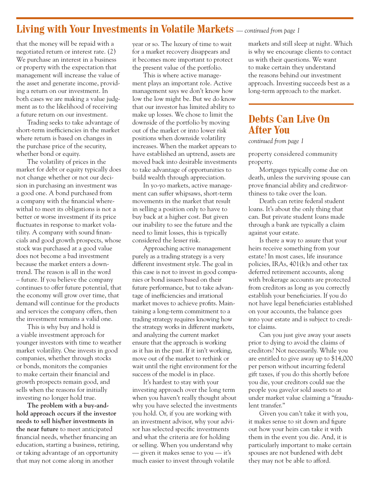#### **Living with Your Investments in Volatile Markets** — *continued from page 1*

that the money will be repaid with a negotiated return or interest rate. (2) We purchase an interest in a business or property with the expectation that management will increase the value of the asset and generate income, providing a return on our investment. In both cases we are making a value judgment as to the likelihood of receiving a future return on our investment.

Trading seeks to take advantage of short-term inefficiencies in the market where return is based on changes in the purchase price of the security, whether bond or equity.

The volatility of prices in the market for debt or equity typically does not change whether or not our decision in purchasing an investment was a good one. A bond purchased from a company with the financial wherewithal to meet its obligations is not a better or worse investment if its price fluctuates in response to market volatility. A company with sound financials and good growth prospects, whose stock was purchased at a good value does not become a bad investment because the market enters a downtrend. The reason is all in the word – future. If you believe the company continues to offer future potential, that the economy will grow over time, that demand will continue for the products and services the company offers, then the investment remains a valid one.

This is why buy and hold is a viable investment approach for younger investors with time to weather market volatility. One invests in good companies, whether through stocks or bonds, monitors the companies to make certain their financial and growth prospects remain good, and sells when the reasons for initially investing no longer hold true.

**The problem with a buy-andhold approach occurs if the investor needs to sell his/her investments in the near future** to meet anticipated financial needs, whether financing an education, starting a business, retiring, or taking advantage of an opportunity that may not come along in another

year or so. The luxury of time to wait for a market recovery disappears and it becomes more important to protect the present value of the portfolio.

This is where active management plays an important role. Active management says we don't know how low the low might be. But we do know that our investor has limited ability to make up losses. We chose to limit the downside of the portfolio by moving out of the market or into lower risk positions when downside volatility increases. When the market appears to have established an uptrend, assets are moved back into desirable investments to take advantage of opportunities to build wealth through appreciation.

In yo-yo markets, active management can suffer whipsaws, short-term movements in the market that result in selling a position only to have to buy back at a higher cost. But given our inability to see the future and the need to limit losses, this is typically considered the lesser risk.

Approaching active management purely as a trading strategy is a very different investment style. The goal in this case is not to invest in good companies or bond issuers based on their future performance, but to take advantage of inefficiencies and irrational market moves to achieve profits. Maintaining a long-term commitment to a trading strategy requires knowing how the strategy works in different markets, and analyzing the current market ensure that the approach is working as it has in the past. If it isn't working, move out of the market to rethink or wait until the right environment for the success of the model is in place.

It's hardest to stay with your investing approach over the long term when you haven't really thought about why you have selected the investments you hold. Or, if you are working with an investment advisor, why your advisor has selected specific investments and what the criteria are for holding or selling. When you understand why — given it makes sense to you — it's much easier to invest through volatile

markets and still sleep at night. Which is why we encourage clients to contact us with their questions. We want to make certain they understand the reasons behind our investment approach. Investing succeeds best as a long-term approach to the market.

#### **Debts Can Live On After You**

*continued from page 1*

property considered community property.

Mortgages typically come due on death, unless the surviving spouse can prove financial ability and creditworthiness to take over the loan.

Death can retire federal student loans. It's about the only thing that can. But private student loans made through a bank are typically a claim against your estate.

Is there a way to assure that your heirs receive something from your estate? In most cases, life insurance policies, IRAs, 401(k)s and other tax deferred retirement accounts, along with brokerage accounts are protected from creditors as long as you correctly establish your beneficiaries. If you do not have legal beneficiaries established on your accounts, the balance goes into your estate and is subject to creditor claims.

Can you just give away your assets prior to dying to avoid the claims of creditors? Not necessarily. While you are entitled to give away up to \$14,000 per person without incurring federal gift taxes, if you do this shortly before you die, your creditors could sue the people you gave/or sold assets to at under market value claiming a "fraudulent transfer."

Given you can't take it with you, it makes sense to sit down and figure out how your heirs can take it with them in the event you die. And, it is particularly important to make certain spouses are not burdened with debt they may not be able to afford.